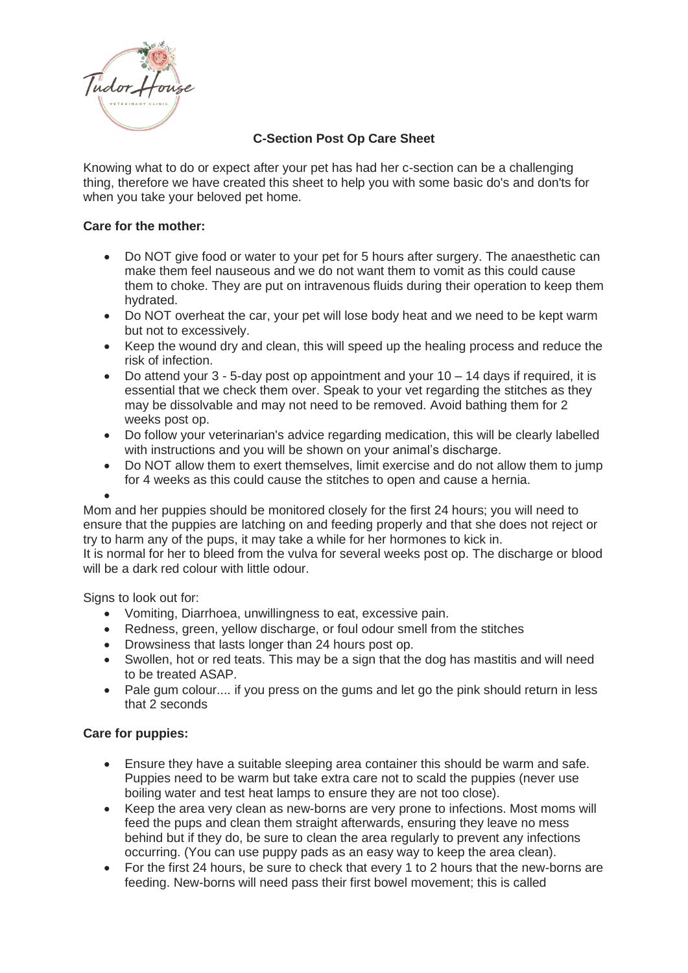

## **C-Section Post Op Care Sheet**

Knowing what to do or expect after your pet has had her c-section can be a challenging thing, therefore we have created this sheet to help you with some basic do's and don'ts for when you take your beloved pet home.

## **Care for the mother:**

- Do NOT give food or water to your pet for 5 hours after surgery. The anaesthetic can make them feel nauseous and we do not want them to vomit as this could cause them to choke. They are put on intravenous fluids during their operation to keep them hydrated.
- Do NOT overheat the car, your pet will lose body heat and we need to be kept warm but not to excessively.
- Keep the wound dry and clean, this will speed up the healing process and reduce the risk of infection.
- Do attend your  $3 5$ -day post op appointment and your  $10 14$  days if required, it is essential that we check them over. Speak to your vet regarding the stitches as they may be dissolvable and may not need to be removed. Avoid bathing them for 2 weeks post op.
- Do follow your veterinarian's advice regarding medication, this will be clearly labelled with instructions and you will be shown on your animal's discharge.
- Do NOT allow them to exert themselves, limit exercise and do not allow them to jump for 4 weeks as this could cause the stitches to open and cause a hernia.

•

Mom and her puppies should be monitored closely for the first 24 hours; you will need to ensure that the puppies are latching on and feeding properly and that she does not reject or try to harm any of the pups, it may take a while for her hormones to kick in.

It is normal for her to bleed from the vulva for several weeks post op. The discharge or blood will be a dark red colour with little odour

Signs to look out for:

- Vomiting, Diarrhoea, unwillingness to eat, excessive pain.
- Redness, green, yellow discharge, or foul odour smell from the stitches
- Drowsiness that lasts longer than 24 hours post op.
- Swollen, hot or red teats. This may be a sign that the dog has mastitis and will need to be treated ASAP.
- Pale gum colour.... if you press on the gums and let go the pink should return in less that 2 seconds

## **Care for puppies:**

- Ensure they have a suitable sleeping area container this should be warm and safe. Puppies need to be warm but take extra care not to scald the puppies (never use boiling water and test heat lamps to ensure they are not too close).
- Keep the area very clean as new-borns are very prone to infections. Most moms will feed the pups and clean them straight afterwards, ensuring they leave no mess behind but if they do, be sure to clean the area regularly to prevent any infections occurring. (You can use puppy pads as an easy way to keep the area clean).
- For the first 24 hours, be sure to check that every 1 to 2 hours that the new-borns are feeding. New-borns will need pass their first bowel movement; this is called